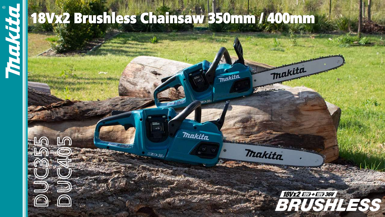

18Vx2 Brushless Chainsaw 350mm / 400mm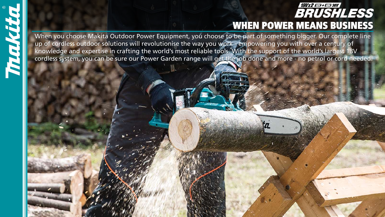

### **18Vx2 FBT+FBT+36V BRUSHLESS** WHEN POWER MEANS BUSINESS

When you choose Makita Outdoor Power Equipment, you choose to be part of something bigger. Our complete line up of cordless outdoor solutions will revolutionise the way you work - empowering you with over a century of knowledge and expertise in crafting the world's most reliable tools. With the support of the world's largest 18V cordless system, you can be sure our Power Garden range will get the job done and more - no petrol or cord needed.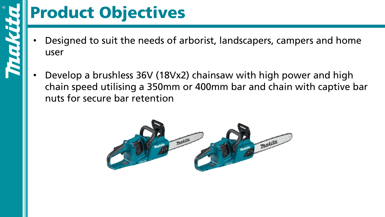

## Product Objectives

- Designed to suit the needs of arborist, landscapers, campers and home user
- Develop a brushless 36V (18Vx2) chainsaw with high power and high chain speed utilising a 350mm or 400mm bar and chain with captive bar nuts for secure bar retention

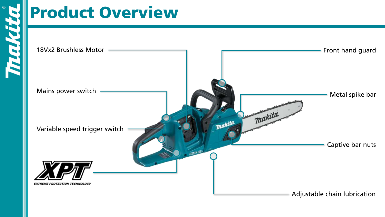## Product Overview

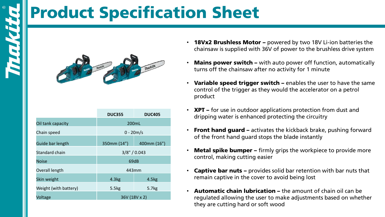## Product Specification Sheet



|                       | <b>DUC355</b> | <b>DUC405</b> |  |  |  |
|-----------------------|---------------|---------------|--|--|--|
| Oil tank capacity     | 200mL         |               |  |  |  |
| Chain speed           | $0 - 20m/s$   |               |  |  |  |
| Guide bar length      | 350mm (14")   | 400mm (16")   |  |  |  |
| Standard chain        | 3/8" / 0.043  |               |  |  |  |
| <b>Noise</b>          | 69dB          |               |  |  |  |
| Overall length        | 443mm         |               |  |  |  |
| Skin weight           | 4.3kg         | 4.5kg         |  |  |  |
| Weight (with battery) | 5.5kg         | 5.7kg         |  |  |  |
| Voltage               | 36V (18V x 2) |               |  |  |  |

- 18Vx2 Brushless Motor powered by two 18V Li-ion batteries the chainsaw is supplied with 36V of power to the brushless drive system
- **Mains power switch –** with auto power off function, automatically turns off the chainsaw after no activity for 1 minute
- Variable speed trigger switch enables the user to have the same control of the trigger as they would the accelerator on a petrol product
- **XPT** for use in outdoor applications protection from dust and dripping water is enhanced protecting the circuitry
- **Front hand guard –** activates the kickback brake, pushing forward of the front hand guard stops the blade instantly
- **Metal spike bumper –** firmly grips the workpiece to provide more control, making cutting easier
- **Captive bar nuts –** provides solid bar retention with bar nuts that remain captive in the cover to avoid being lost
- Automatic chain lubrication the amount of chain oil can be regulated allowing the user to make adjustments based on whether they are cutting hard or soft wood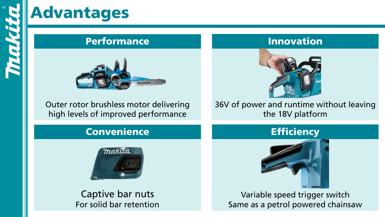## Advantages

### **Performance**



Outer rotor brushless motor delivering high levels of improved performance

### Convenience **Efficiency**



Captive bar nuts For solid bar retention

### Innovation



36V of power and runtime without leaving the 18V platform



Variable speed trigger switch Same as a petrol powered chainsaw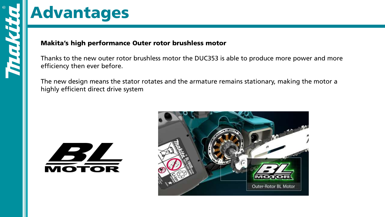### Advantages

### Makita's high performance Outer rotor brushless motor

Thanks to the new outer rotor brushless motor the DUC353 is able to produce more power and more efficiency then ever before.

The new design means the stator rotates and the armature remains stationary, making the motor a highly efficient direct drive system



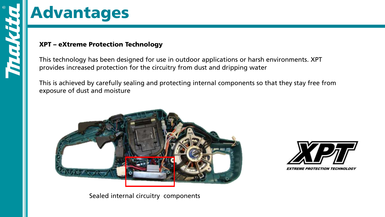

### Advantages

### XPT – eXtreme Protection Technology

This technology has been designed for use in outdoor applications or harsh environments. XPT provides increased protection for the circuitry from dust and dripping water

This is achieved by carefully sealing and protecting internal components so that they stay free from exposure of dust and moisture







**EXTREME PROTECTION TECHNOLOGY**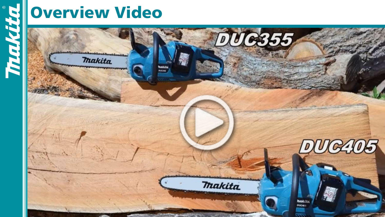

## Overview Video

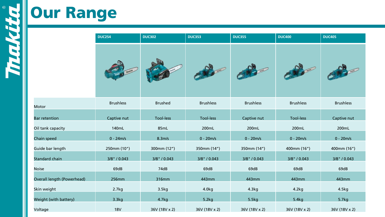Motor

# **Sour Range**

|                            | <b>DUC254</b>    | <b>DUC302</b>  | <b>DUC353</b>    | <b>DUC355</b>    | <b>DUC400</b>    | <b>DUC405</b>    |  |
|----------------------------|------------------|----------------|------------------|------------------|------------------|------------------|--|
|                            |                  |                |                  |                  |                  |                  |  |
| Motor                      | <b>Brushless</b> | <b>Brushed</b> | <b>Brushless</b> | <b>Brushless</b> | <b>Brushless</b> | <b>Brushless</b> |  |
| <b>Bar retention</b>       | Captive nut      | Tool-less      | <b>Tool-less</b> | Captive nut      | Tool-less        | Captive nut      |  |
| Oil tank capacity          | 140mL            | 85mL           | 200mL            | 200mL            | 200mL            | 200mL            |  |
| Chain speed                | $0 - 24m/s$      | 8.3m/s         | $0 - 20m/s$      | $0 - 20m/s$      | $0 - 20m/s$      | $0 - 20m/s$      |  |
| Guide bar length           | 250mm (10")      | 300mm (12")    | 350mm (14")      | 350mm (14")      | 400mm (16")      | 400mm (16")      |  |
| Standard chain             | 3/8" / 0.043     | 3/8" / 0.043   | 3/8" / 0.043     | 3/8" / 0.043     | 3/8" / 0.043     | 3/8" / 0.043     |  |
| <b>Noise</b>               | 69dB             | 74dB           | 69dB             | 69dB             | 69dB             | 69dB             |  |
| Overall length (Powerhead) | 256mm            | 316mm          | 443mm            | 443mm            | 443mm            | 443mm            |  |
| Skin weight                | 2.7kg            | 3.5kg          | 4.0kg            | 4.3kg            | 4.2kg            | 4.5kg            |  |
| Weight (with battery)      | 3.3kg            | 4.7kg          | 5.2kg            | 5.5kg            | 5.4kg            | 5.7kg            |  |
| Voltage                    | <b>18V</b>       | 36V (18V x 2)  | 36V (18V x 2)    | 36V (18V x 2)    | 36V (18V x 2)    | 36V (18V x 2)    |  |